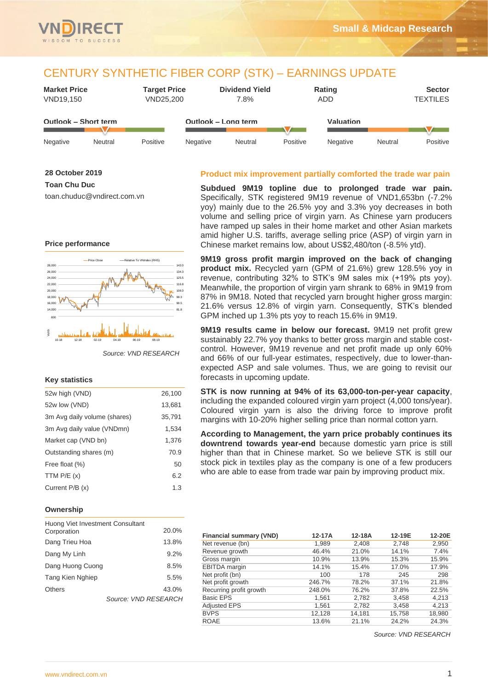

## CENTURY SYNTHETIC FIBER CORP (STK) – EARNINGS UPDATE

| <b>Market Price</b><br>VND19,150 |         | <b>Target Price</b><br>VND25,200 |                     | <b>Dividend Yield</b><br>7.8% |          | <b>Rating</b><br>ADD |         | <b>Sector</b><br><b>TEXTILES</b> |
|----------------------------------|---------|----------------------------------|---------------------|-------------------------------|----------|----------------------|---------|----------------------------------|
| <b>Outlook - Short term</b>      |         |                                  | Outlook - Long term |                               |          | Valuation            |         |                                  |
| Negative                         | Neutral | Positive                         | Negative            | Neutral                       | Positive | Negative             | Neutral | Positive                         |

#### **28 October 2019**

**Toan Chu Duc**

toan.chuduc@vndirect.com.vn

# **Price performance**



*Source: VND RESEARCH*

## **Key statistics**

| 52w high (VND)               | 26,100 |
|------------------------------|--------|
| 52w low (VND)                | 13,681 |
| 3m Avg daily volume (shares) | 35,791 |
| 3m Avg daily value (VNDmn)   | 1,534  |
| Market cap (VND bn)          | 1,376  |
| Outstanding shares (m)       | 70.9   |
| Free float (%)               | 50     |
| TTM $P/E(x)$                 | 6.2    |
| Current P/B (x)              | 1.3    |

## **Ownership**

| Huong Viet Investment Consultant | 20.0%                |
|----------------------------------|----------------------|
| Corporation                      |                      |
| Dang Trieu Hoa                   | 13.8%                |
| Dang My Linh                     | 9.2%                 |
| Dang Huong Cuong                 | 8.5%                 |
| Tang Kien Nghiep                 | 5.5%                 |
| Others                           | 43.0%                |
|                                  | Source: VND RESEARCH |

## **Product mix improvement partially comforted the trade war pain**

**Subdued 9M19 topline due to prolonged trade war pain.** Specifically, STK registered 9M19 revenue of VND1,653bn (-7.2% yoy) mainly due to the 26.5% yoy and 3.3% yoy decreases in both volume and selling price of virgin yarn. As Chinese yarn producers have ramped up sales in their home market and other Asian markets amid higher U.S. tariffs, average selling price (ASP) of virgin yarn in Chinese market remains low, about US\$2,480/ton (-8.5% ytd).

**9M19 gross profit margin improved on the back of changing product mix.** Recycled yarn (GPM of 21.6%) grew 128.5% yoy in revenue, contributing 32% to STK's 9M sales mix (+19% pts yoy). Meanwhile, the proportion of virgin yarn shrank to 68% in 9M19 from 87% in 9M18. Noted that recycled yarn brought higher gross margin: 21.6% versus 12.8% of virgin yarn. Consequently, STK's blended GPM inched up 1.3% pts yoy to reach 15.6% in 9M19.

**9M19 results came in below our forecast.** 9M19 net profit grew sustainably 22.7% yoy thanks to better gross margin and stable costcontrol. However, 9M19 revenue and net profit made up only 60% and 66% of our full-year estimates, respectively, due to lower-thanexpected ASP and sale volumes. Thus, we are going to revisit our forecasts in upcoming update.

**STK is now running at 94% of its 63,000-ton-per-year capacity**, including the expanded coloured virgin yarn project (4,000 tons/year). Coloured virgin yarn is also the driving force to improve profit margins with 10-20% higher selling price than normal cotton yarn.

**According to Management, the yarn price probably continues its downtrend towards year-end** because domestic yarn price is still higher than that in Chinese market. So we believe STK is still our stock pick in textiles play as the company is one of a few producers who are able to ease from trade war pain by improving product mix.

| 1,989<br>46.4%<br>10.9%<br>14.1% | 2,408<br>21.0%<br>13.9%    | 2,748<br>14.1%<br>15.3% | 2,950<br>7.4%<br>15.9% |
|----------------------------------|----------------------------|-------------------------|------------------------|
|                                  |                            |                         |                        |
|                                  |                            |                         |                        |
|                                  |                            |                         |                        |
|                                  | 15.4%                      | 17.0%                   | 17.9%                  |
| 100                              | 178                        | 245                     | 298                    |
|                                  | 78.2%                      | 37.1%                   | 21.8%                  |
|                                  | 76.2%                      | 37.8%                   | 22.5%                  |
| 1,561                            | 2,782                      | 3.458                   | 4,213                  |
| 1.561                            | 2,782                      | 3.458                   | 4,213                  |
|                                  | 14,181                     | 15.758                  | 18,980                 |
| 13.6%                            | 21.1%                      | 24.2%                   | 24.3%                  |
|                                  | 246.7%<br>248.0%<br>12,128 |                         | Source: VND RESEARCH   |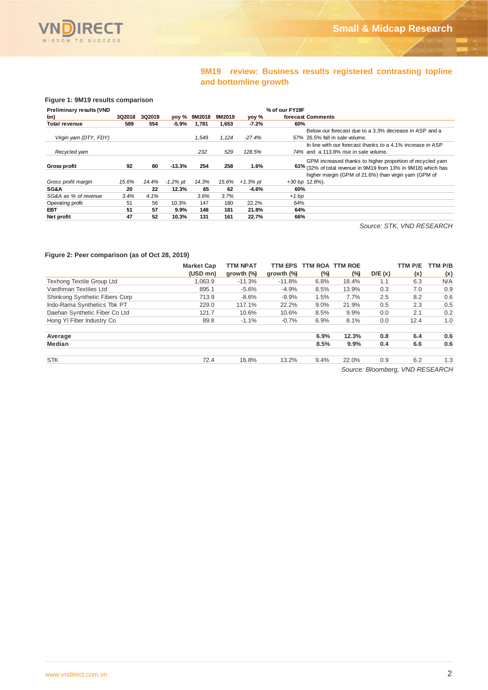

## **9M19 review: Business results registered contrasting topline and bottomline growth**

#### **Figure 1: 9M19 results comparison**

| <b>Preliminary results (VND</b> |        |        |             |        |        |            | % of our FY19F                                                |
|---------------------------------|--------|--------|-------------|--------|--------|------------|---------------------------------------------------------------|
| bn)                             | 3Q2018 | 3Q2019 | yoy %       | 9M2018 | 9M2019 | yoy %      | forecast Comments                                             |
| Total revenue                   | 589    | 554    | $-5.9%$     | 1.781  | 1.653  | $-7.2%$    | 60%                                                           |
|                                 |        |        |             |        |        |            | Below our forecast due to a 3.3% decrease in ASP and a        |
| Virgin yarn (DTY, FDY)          |        |        |             | 1.549  | 1.124  | -27.4%     | 57% 26.5% fall in sale volume.                                |
|                                 |        |        |             |        |        |            | In line with our forecast thanks to a 4.1% increase in ASP    |
| Recycled yarn                   |        |        |             | 232    | 529    | 128.5%     | 74% and a 113.8% rise in sale volume.                         |
|                                 |        |        |             |        |        |            | GPM increased thanks to higher proportion of recycled yarn    |
| <b>Gross profit</b>             | 92     | 80     | $-13.3%$    | 254    | 258    | 1.6%       | 61% (32% of total revenue in 9M19 from 13% in 9M18) which has |
|                                 |        |        |             |        |        |            | higher margin (GPM of 21.6%) than virgin yarn (GPM of         |
| Gross profit margin             | 15.6%  | 14.4%  | $-1.2\%$ pt | 14.3%  | 15.6%  | $+1.3%$ pt | $+30$ bp $12.8\%$ ).                                          |
| <b>SG&amp;A</b>                 | 20     | 22     | 12.3%       | 65     | 62     | $-4.6%$    | 60%                                                           |
| SG&A as % of revenue            | 3.4%   | 4.1%   |             | 3.6%   | 3.7%   |            | $+1bp$                                                        |
| Operating profit                | 51     | 56     | 10.3%       | 147    | 180    | 22.2%      | 64%                                                           |
| <b>EBT</b>                      | 51     | 57     | 9.9%        | 148    | 181    | 21.8%      | 64%                                                           |
| Net profit                      | 47     | 52     | 10.3%       | 131    | 161    | 22.7%      | 66%                                                           |

 *Source: STK, VND RESEARCH*

#### **Figure 2: Peer comparison (as of Oct 28, 2019)**

|                                  | <b>Market Cap</b> | <b>TTM NPAT</b>      | <b>TTM EPS</b>       |         | TTM ROA TTM ROE |        | TTM P/E                                      | TTM P/B |
|----------------------------------|-------------------|----------------------|----------------------|---------|-----------------|--------|----------------------------------------------|---------|
|                                  | (USD mn)          | growth $\frac{9}{9}$ | growth $\frac{9}{9}$ | (%)     | $(\%)$          | D/E(x) | (x)                                          | (x)     |
| <b>Texhong Textile Group Ltd</b> | 1.063.9           | $-11.3%$             | $-11.8%$             | 6.8%    | 18.4%           | 1.1    | 6.3                                          | N/A     |
| Vardhman Textiles Ltd            | 895.1             | $-5.6%$              | $-4.9%$              | 8.5%    | 13.9%           | 0.3    | 7.0                                          | 0.9     |
| Shinkong Synthetic Fibers Corp   | 713.9             | $-8.6%$              | $-9.9%$              | 1.5%    | 7.7%            | 2.5    | 8.2                                          | 0.6     |
| Indo-Rama Synthetics Tbk PT      | 229.0             | 117.1%               | 22.2%                | $9.0\%$ | 21.9%           | 0.5    | 2.3                                          | 0.5     |
| Daehan Synthetic Fiber Co Ltd    | 121.7             | 10.6%                | 10.6%                | 8.5%    | 9.9%            | 0.0    | 2.1                                          | 0.2     |
| Hong YI Fiber Industry Co        | 89.8              | $-1.1%$              | $-0.7%$              | 6.9%    | 8.1%            | 0.0    | 12.4                                         | 1.0     |
| Average                          |                   |                      |                      | 6.9%    | 12.3%           | 0.8    | 6.4                                          | 0.6     |
| Median                           |                   |                      |                      | 8.5%    | $9.9\%$         | 0.4    | 6.6                                          | 0.6     |
| <b>STK</b>                       | 72.4              | 16.8%                | 13.2%                | 9.4%    | 22.0%           | 0.9    | 6.2                                          | 1.3     |
|                                  |                   |                      |                      |         |                 |        | $Q_1, \ldots, Q_k, \ldots, Q_k, \ldots, Q_k$ |         |

*Source: Bloomberg, VND RESEARCH*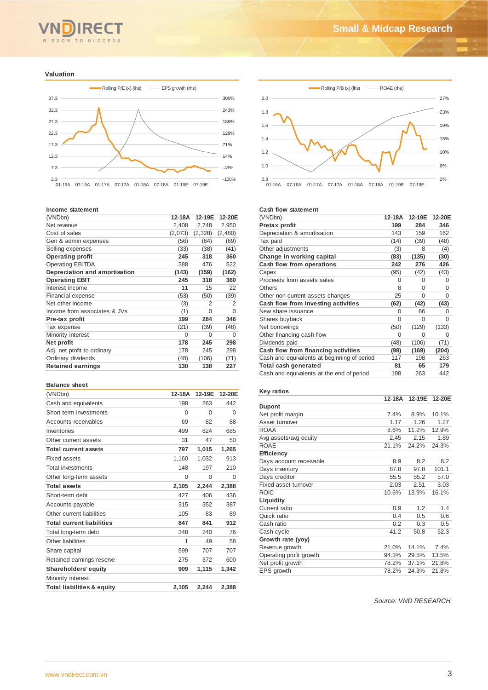

#### **Valuation**



#### **Income statement**

| (VNDbn)                       | 12-18A  | 12-19E        | 12-20E  |
|-------------------------------|---------|---------------|---------|
| Net revenue                   | 2,408   | 2,748         | 2,950   |
| Cost of sales                 | (2,073) | (2,328)       | (2,480) |
| Gen & admin expenses          | (56)    | (64)          | (69)    |
| Selling expenses              | (33)    | (38)          | (41)    |
| <b>Operating profit</b>       | 245     | 318           | 360     |
| <b>Operating EBITDA</b>       | 388     | 476           | 522     |
| Depreciation and amortisation | (143)   | (159)         | (162)   |
| <b>Operating EBIT</b>         | 245     | 318           | 360     |
| Interest income               | 11      | 15            | 22      |
| Financial expense             | (53)    | (50)          | (39)    |
| Net other income              | (3)     | $\mathcal{P}$ | 2       |
| Income from associates & JVs  | (1)     | $\Omega$      | 0       |
| Pre-tax profit                | 199     | 284           | 346     |
| Tax expense                   | (21)    | (39)          | (48)    |
| Minority interest             | 0       | 0             | 0       |
| Net profit                    | 178     | 245           | 298     |
| Adj. net profit to ordinary   | 178     | 245           | 298     |
| Ordinary dividends            | (48)    | (106)         | (71)    |
| <b>Retained earnings</b>      | 130     | 138           | 227     |

#### **Balance sheet**

| (VNDbn)                               | 12-18A   | 12-19E | 12-20E   |
|---------------------------------------|----------|--------|----------|
| Cash and equivalents                  | 198      | 263    | 442      |
| Short term investments                | 0        | 0      | 0        |
| Accounts receivables                  | 69       | 82     | 88       |
| Inventories                           | 499      | 624    | 685      |
| Other current assets                  | 31       | 47     | 50       |
| <b>Total current assets</b>           | 797      | 1,015  | 1,265    |
| Fixed assets                          | 1,160    | 1,032  | 913      |
| <b>Total investments</b>              | 148      | 197    | 210      |
| Other long-term assets                | $\Omega$ | 0      | $\Omega$ |
| <b>Total assets</b>                   | 2,105    | 2,244  | 2,388    |
| Short-term debt                       | 427      | 406    | 436      |
| Accounts payable                      | 315      | 352    | 387      |
| Other current liabilities             | 105      | 83     | 89       |
| <b>Total current liabilities</b>      | 847      | 841    | 912      |
| Total long-term debt                  | 348      | 240    | 76       |
| Other liabilities                     | 1        | 49     | 58       |
| Share capital                         | 599      | 707    | 707      |
| Retained earnings reserve             | 275      | 372    | 600      |
| <b>Shareholders' equity</b>           | 909      | 1,115  | 1,342    |
| Minority interest                     |          |        |          |
| <b>Total liabilities &amp; equity</b> | 2,105    | 2,244  | 2,388    |



#### **Cash flow statement**

| (VNDbn)                                     | 12-18A   | 12-19E   | 12-20E   |
|---------------------------------------------|----------|----------|----------|
| Pretax profit                               | 199      | 284      | 346      |
| Depreciation & amortisation                 | 143      | 159      | 162      |
| Tax paid                                    | (14)     | (39)     | (48)     |
| Other adjustments                           | (3)      | 8        | (4)      |
| Change in working capital                   | (83)     | (135)    | (30)     |
| Cash flow from operations                   | 242      | 276      | 426      |
| Capex                                       | (95)     | (42)     | (43)     |
| Proceeds from assets sales                  | 0        | 0        | $\Omega$ |
| <b>Others</b>                               | 8        | $\Omega$ | 0        |
| Other non-current assets changes            | 25       | 0        | $\Omega$ |
| Cash flow from investing activities         | (62)     | (42)     | (43)     |
| New share issuance                          | $\Omega$ | 66       | O        |
| Shares buyback                              | $\Omega$ | 0        | 0        |
| Net borrowings                              | (50)     | (129)    | (133)    |
| Other financing cash flow                   | 0        | 0        | 0        |
| Dividends paid                              | (48)     | (106)    | (71)     |
| Cash flow from financing activities         | (98)     | (169)    | (204)    |
| Cash and equivalents at beginning of period | 117      | 198      | 263      |
| Total cash generated                        | 81       | 65       | 179      |
| Cash and equivalents at the end of period   | 198      | 263      | 442      |

#### **Key ratios**

|                         | 12-18A | 12-19E | 12-20E |
|-------------------------|--------|--------|--------|
| <b>Dupont</b>           |        |        |        |
| Net profit margin       | 7.4%   | 8.9%   | 10.1%  |
| Asset turnover          | 1.17   | 1.26   | 1.27   |
| <b>ROAA</b>             | 8.6%   | 11.2%  | 12.9%  |
| Avg assets/avg equity   | 2.45   | 2.15   | 1.89   |
| <b>ROAE</b>             | 21.1%  | 24.2%  | 24.3%  |
| <b>Efficiency</b>       |        |        |        |
| Days account receivable | 8.9    | 8.2    | 8.2    |
| Days inventory          | 87.8   | 97.8   | 101.1  |
| Days creditor           | 55.5   | 55.2   | 57.0   |
| Fixed asset turnover    | 2.03   | 2.51   | 3.03   |
| <b>ROIC</b>             | 10.6%  | 13.9%  | 16.1%  |
| Liquidity               |        |        |        |
| Current ratio           | 0.9    | 1.2    | 1.4    |
| Quick ratio             | 0.4    | 0.5    | 0.6    |
| Cash ratio              | 0.2    | 0.3    | 0.5    |
| Cash cycle              | 41.2   | 50.8   | 52.3   |
| Growth rate (yoy)       |        |        |        |
| Revenue growth          | 21.0%  | 14.1%  | 7.4%   |
| Operating profit growth | 94.3%  | 29.5%  | 13.5%  |
| Net profit growth       | 78.2%  | 37.1%  | 21.8%  |
| EPS growth              | 78.2%  | 24.3%  | 21.8%  |
|                         |        |        |        |

*Source: VND RESEARCH*